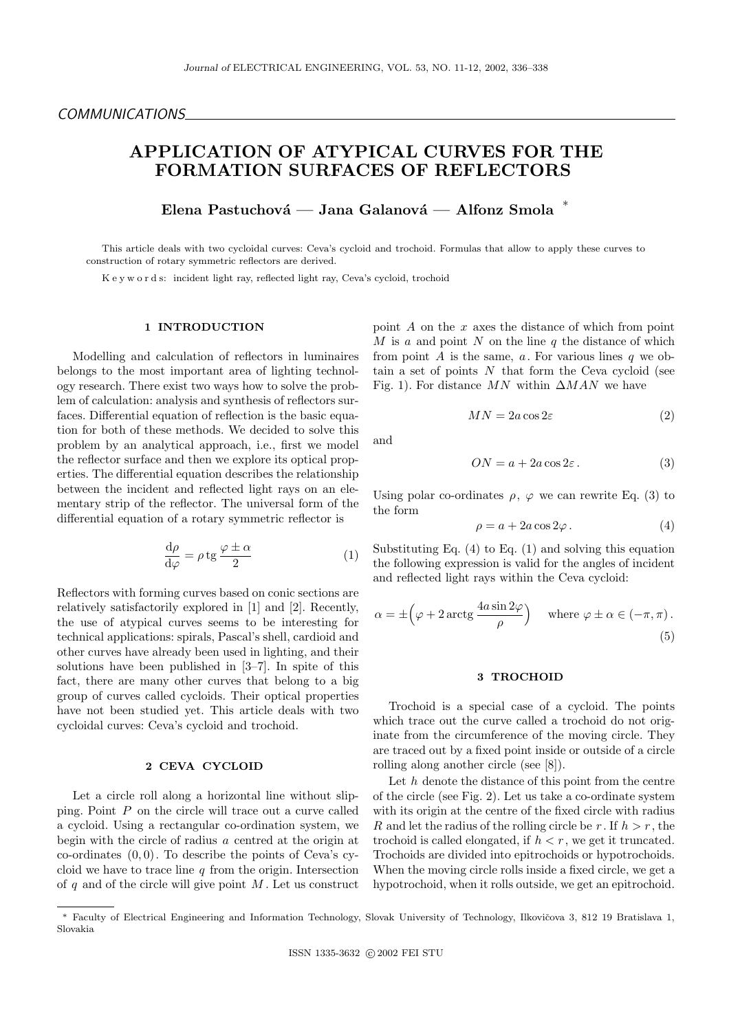# APPLICATION OF ATYPICAL CURVES FOR THE FORMATION SURFACES OF REFLECTORS

Elena Pastuchová — Jana Galanová — Alfonz Smola  $*$ 

This article deals with two cycloidal curves: Ceva's cycloid and trochoid. Formulas that allow to apply these curves to construction of rotary symmetric reflectors are derived.

K e y w o r d s: incident light ray, reflected light ray, Ceva's cycloid, trochoid

### 1 INTRODUCTION

Modelling and calculation of reflectors in luminaires belongs to the most important area of lighting technology research. There exist two ways how to solve the problem of calculation: analysis and synthesis of reflectors surfaces. Differential equation of reflection is the basic equation for both of these methods. We decided to solve this problem by an analytical approach, i.e., first we model the reflector surface and then we explore its optical properties. The differential equation describes the relationship between the incident and reflected light rays on an elementary strip of the reflector. The universal form of the differential equation of a rotary symmetric reflector is

$$
\frac{\mathrm{d}\rho}{\mathrm{d}\varphi} = \rho \,\mathrm{tg}\,\frac{\varphi \pm \alpha}{2} \tag{1}
$$

Reflectors with forming curves based on conic sections are relatively satisfactorily explored in [1] and [2]. Recently, the use of atypical curves seems to be interesting for technical applications: spirals, Pascal's shell, cardioid and other curves have already been used in lighting, and their solutions have been published in [3–7]. In spite of this fact, there are many other curves that belong to a big group of curves called cycloids. Their optical properties have not been studied yet. This article deals with two cycloidal curves: Ceva's cycloid and trochoid.

#### 2 CEVA CYCLOID

Let a circle roll along a horizontal line without slipping. Point  $P$  on the circle will trace out a curve called a cycloid. Using a rectangular co-ordination system, we begin with the circle of radius a centred at the origin at co-ordinates  $(0, 0)$ . To describe the points of Ceva's cycloid we have to trace line  $q$  from the origin. Intersection of  $q$  and of the circle will give point  $M$ . Let us construct point  $A$  on the  $x$  axes the distance of which from point  $M$  is a and point  $N$  on the line  $q$  the distance of which from point A is the same, a. For various lines  $q$  we obtain a set of points  $N$  that form the Ceva cycloid (see Fig. 1). For distance  $MN$  within  $\Delta MAN$  we have

$$
MN = 2a\cos 2\varepsilon \tag{2}
$$

and

$$
ON = a + 2a \cos 2\varepsilon.
$$
 (3)

Using polar co-ordinates  $\rho$ ,  $\varphi$  we can rewrite Eq. (3) to the form

$$
\rho = a + 2a \cos 2\varphi. \tag{4}
$$

Substituting Eq.  $(4)$  to Eq.  $(1)$  and solving this equation the following expression is valid for the angles of incident and reflected light rays within the Ceva cycloid:

$$
\alpha = \pm \left(\varphi + 2\arctg\frac{4a\sin 2\varphi}{\rho}\right) \quad \text{where } \varphi \pm \alpha \in (-\pi, \pi). \tag{5}
$$

# 3 TROCHOID

Trochoid is a special case of a cycloid. The points which trace out the curve called a trochoid do not originate from the circumference of the moving circle. They are traced out by a fixed point inside or outside of a circle rolling along another circle (see [8]).

Let  $h$  denote the distance of this point from the centre of the circle (see Fig. 2). Let us take a co-ordinate system with its origin at the centre of the fixed circle with radius R and let the radius of the rolling circle be r. If  $h > r$ , the trochoid is called elongated, if  $h < r$ , we get it truncated. Trochoids are divided into epitrochoids or hypotrochoids. When the moving circle rolls inside a fixed circle, we get a hypotrochoid, when it rolls outside, we get an epitrochoid.

Faculty of Electrical Engineering and Information Technology, Slovak University of Technology, Ilkovičova 3, 812 19 Bratislava 1, Slovakia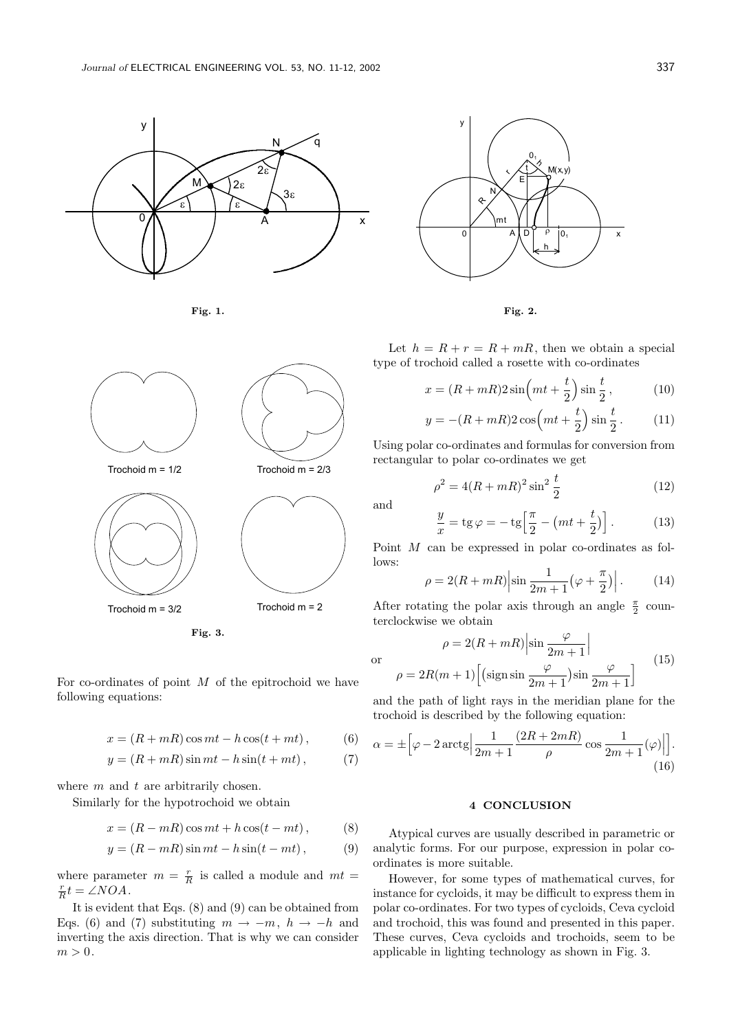





For co-ordinates of point  $M$  of the epitrochoid we have following equations:

$$
x = (R + mR)\cos mt - h\cos(t + mt), \qquad (6)
$$

$$
y = (R + mR)\sin mt - h\sin(t + mt), \qquad (7)
$$

where  $m$  and  $t$  are arbitrarily chosen.

Similarly for the hypotrochoid we obtain

$$
x = (R - mR)\cos mt + h\cos(t - mt), \qquad (8)
$$

$$
y = (R - mR)\sin mt - h\sin(t - mt), \qquad (9)
$$

where parameter  $m = \frac{r}{R}$  is called a module and  $mt =$  $rac{r}{R}t = \angle NOA$ .

It is evident that Eqs.  $(8)$  and  $(9)$  can be obtained from Eqs. (6) and (7) substituting  $m \to -m$ ,  $h \to -h$  and inverting the axis direction. That is why we can consider  $m > 0$ .





Let  $h = R + r = R + mR$ , then we obtain a special type of trochoid called a rosette with co-ordinates

$$
x = (R + mR)2\sin\left(mt + \frac{t}{2}\right)\sin\frac{t}{2},\tag{10}
$$

$$
y = -(R + mR)2\cos\left(mt + \frac{t}{2}\right)\sin\frac{t}{2}.
$$
 (11)

Using polar co-ordinates and formulas for conversion from rectangular to polar co-ordinates we get

$$
\rho^2 = 4(R + mR)^2 \sin^2 \frac{t}{2}
$$
 (12)

and

or

$$
\frac{y}{x} = \text{tg}\,\varphi = -\,\text{tg}\left[\frac{\pi}{2} - \left(mt + \frac{t}{2}\right)\right].\tag{13}
$$

Point M can be expressed in polar co-ordinates as follows:

$$
\rho = 2(R + mR) \left| \sin \frac{1}{2m+1} \left( \varphi + \frac{\pi}{2} \right) \right|.
$$
 (14)

After rotating the polar axis through an angle  $\frac{\pi}{2}$  counterclockwise we obtain

$$
\rho = 2(R + mR) \left| \sin \frac{\varphi}{2m + 1} \right|
$$

$$
\rho = 2R(m + 1) \left[ \left( \text{sign} \sin \frac{\varphi}{2m + 1} \right) \sin \frac{\varphi}{2m + 1} \right]
$$
(15)

and the path of light rays in the meridian plane for the trochoid is described by the following equation:

$$
\alpha = \pm \left[ \varphi - 2 \arctg \Big| \frac{1}{2m+1} \frac{(2R+2mR)}{\rho} \cos \frac{1}{2m+1}(\varphi) \Big| \right].
$$
\n(16)

### 4 CONCLUSION

Atypical curves are usually described in parametric or analytic forms. For our purpose, expression in polar coordinates is more suitable.

However, for some types of mathematical curves, for instance for cycloids, it may be difficult to express them in polar co-ordinates. For two types of cycloids, Ceva cycloid and trochoid, this was found and presented in this paper. These curves, Ceva cycloids and trochoids, seem to be applicable in lighting technology as shown in Fig. 3.